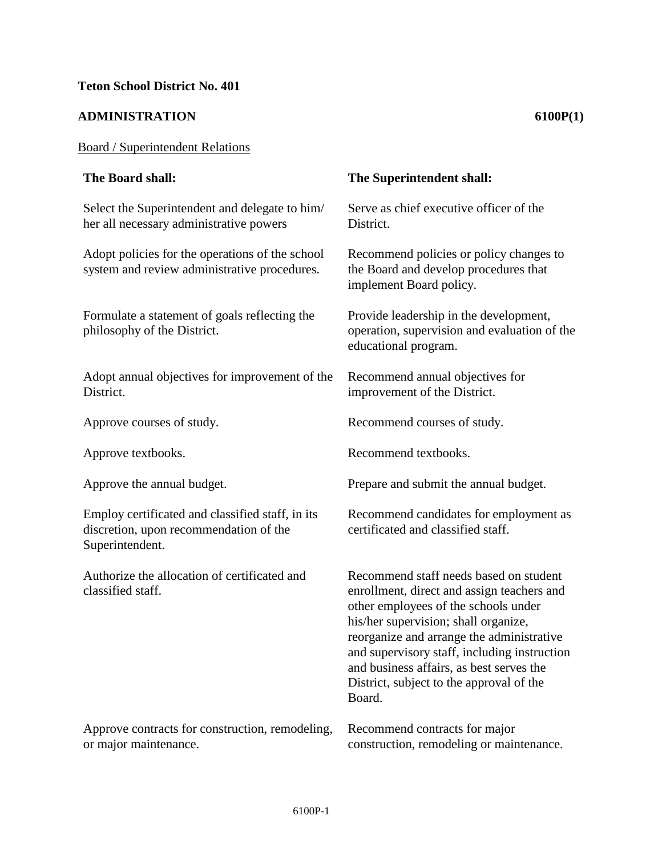## **ADMINISTRATION 6100P(1)**

## Board / Superintendent Relations

## **The Board shall: The Superintendent shall:**  Select the Superintendent and delegate to him/ her all necessary administrative powers Serve as chief executive officer of the District. Adopt policies for the operations of the school system and review administrative procedures. Recommend policies or policy changes to the Board and develop procedures that implement Board policy. Formulate a statement of goals reflecting the philosophy of the District. Provide leadership in the development, operation, supervision and evaluation of the educational program. Adopt annual objectives for improvement of the District. Recommend annual objectives for improvement of the District. Approve courses of study. Recommend courses of study. Approve textbooks. Recommend textbooks. Approve the annual budget. Prepare and submit the annual budget. Employ certificated and classified staff, in its discretion, upon recommendation of the Superintendent. Recommend candidates for employment as certificated and classified staff. Authorize the allocation of certificated and classified staff. Recommend staff needs based on student enrollment, direct and assign teachers and other employees of the schools under his/her supervision; shall organize, reorganize and arrange the administrative and supervisory staff, including instruction and business affairs, as best serves the District, subject to the approval of the Board. Approve contracts for construction, remodeling, Recommend contracts for major

construction, remodeling or maintenance.